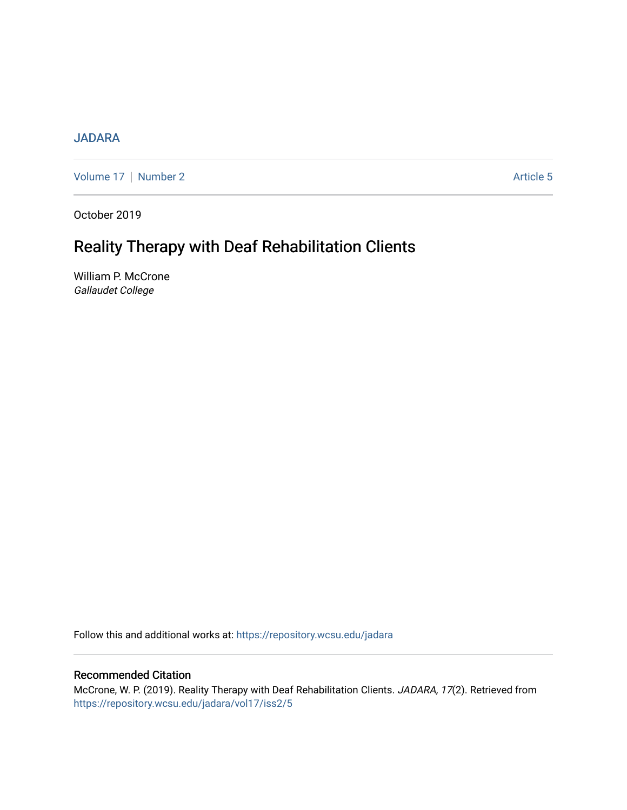# [JADARA](https://repository.wcsu.edu/jadara)

[Volume 17](https://repository.wcsu.edu/jadara/vol17) | [Number 2](https://repository.wcsu.edu/jadara/vol17/iss2) Article 5

October 2019

# Reality Therapy with Deaf Rehabilitation Clients

William P. McCrone Gallaudet College

Follow this and additional works at: [https://repository.wcsu.edu/jadara](https://repository.wcsu.edu/jadara?utm_source=repository.wcsu.edu%2Fjadara%2Fvol17%2Fiss2%2F5&utm_medium=PDF&utm_campaign=PDFCoverPages)

# Recommended Citation

McCrone, W. P. (2019). Reality Therapy with Deaf Rehabilitation Clients. JADARA, 17(2). Retrieved from [https://repository.wcsu.edu/jadara/vol17/iss2/5](https://repository.wcsu.edu/jadara/vol17/iss2/5?utm_source=repository.wcsu.edu%2Fjadara%2Fvol17%2Fiss2%2F5&utm_medium=PDF&utm_campaign=PDFCoverPages)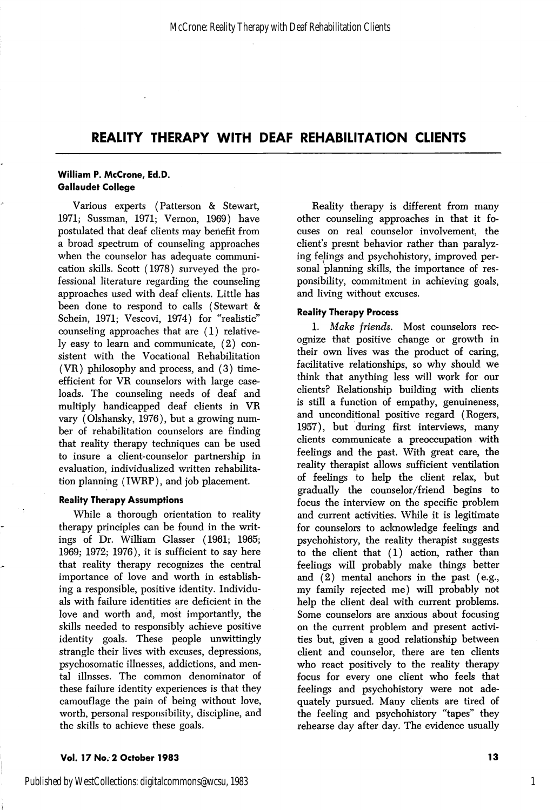# REALITY THERAPY WITH DEAF REHABILITATION CLIENTS

# William P. McCrone, Ed.D. Gallaudet College

Various experts (Patterson & Stewart, 1971; Sussman, 1971; Vernon, 1969) have postulated that deaf clients may benefit from a broad spectrum of counseling approaches when the counselor has adequate communi cation skills. Scott (1978) surveyed the pro fessional literature regarding the counseling approaches used with deaf clients. Little has been done to respond to calls (Stewart & Schein, 1971; Vescovi, 1974) for "realistic" counseling approaches that are (1) relative ly easy to learn and communicate, (2) con sistent with the Vocational Rehabilitation (VR) philosophy and process, and (3) timeefficient for VR counselors with large case loads. The counseling needs of deaf and multiply handicapped deaf clients in VR vary (Olshansky, 1976), but a growing num ber of rehabilitation counselors are finding that reality therapy techniques can be used to insure a client-counselor partnership in evaluation, individualized written rehabilita tion planning (IWRP), and job placement.

## Reality Therapy Assumptions

While a thorough orientation to reality therapy principles can be found in the writ ings of Dr. William Glasser (1961; 1965; 1969; 1972; 1976), it is sufficient to say here that reality therapy recognizes the central importance of love and worth in establish ing a responsible, positive identity. Individu als with failure identities are deficient in the love and worth and, most importantly, the skills needed to responsibly achieve positive identity goals. These people unwittingly strangle their lives with excuses, depressions, psychosomatic illnesses, addictions, and men tal illnsses. The common denominator of these failure identity experiences is that they camouflage the pain of being without love, worth, personal responsibility, discipline, and the skills to achieve these goals.

Reality therapy is different from many other counseling approaches in that it fo cuses on real counselor involvement, the client's presnt behavior rather than paralyz ing felings and psychohistory, improved per sonal planning skills, the importance of res ponsibility, commitment in achieving goals, and living without excuses.

# Reality Therapy Process

1. Make friends. Most counselors rec ognize that positive change or growth in their own lives was the product of caring, facilitative relationships, so why should we think that anything less will work for our clients? Relationship building with clients is still a function of empathy, genuineness, and unconditional positive regard (Rogers, 1957), but during first interviews, many clients communicate a preoccupation with feelings and the past. With great care, the reality therapist allows sufficient ventilation of feelings to help the client relax, but gradually the counselor/friend begins to focus the interview on the specific problem and current activities. While it is legitimate for counselors to acknowledge feelings and psychohistory, the reality therapist suggests to the client that (1) action, rather than feelings will probably make things better and (2) mental anchors in the past (e.g., my family rejected me) will probably not help the client deal with current problems. Some counselors are anxious about focusing on the current problem and present activi ties but, given a good relationship between client and counselor, there are ten clients who react positively to the reality therapy focus for every one client who feels that feelings and psychohistory were not ade quately pursued. Many clients are tired of the feeling and psychohistory "tapes" they rehearse day after day. The evidence usually

## Vol. 17 No. 2 October 1983 13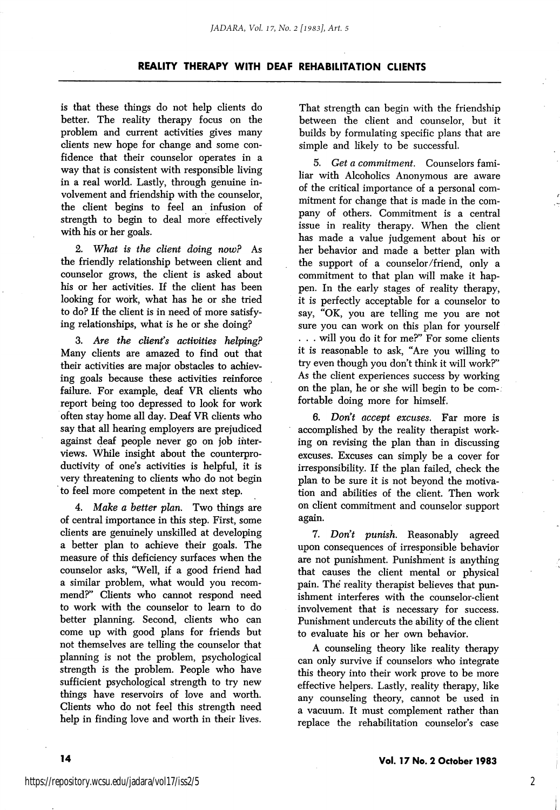#### *JADARA, Vol. 17, No. 2 [1983], Art. 5*

## REALITY THERAPY WITH DEAF REHABILITATION CLIENTS

is that these things do not help clients do better. The reality therapy focus on the problem and current activities gives many clients new hope for change and some con fidence that their counselor operates in a way that is consistent with responsible living in a real world. Lastly, through genuine in volvement and friendship with the counselor, the client begins to feel an infusion of strength to begin to deal more effectively with his or her goals.

2. What is the client doing now? As the friendly relationship between client and counselor grows, the client is asked about his or her activities. If the client has been looking for work, what has he or she tried to do? If the client is in need of more satisfy ing relationships, what is he or she doing?

3. Are the client's activities helping? Many clients are amazed to find out that their activities are major obstacles to achiev ing goals because these activities reinforce failure. For example, deaf VR clients who report being too depressed to look for work often stay home all day. Deaf VR clients who say that all hearing employers are prejudiced against deaf people never go on job inter views. While insight about the counterproductivity of one's activities is helpful, it is very threatening to clients who do not begin to feel more competent in the next step.

4. Make a better plan. Two things are of central importance in this step. First, some clients are genuinely unskilled at developing a better plan to achieve their goals. The measure of this deficiency surfaces when the counselor asks, "Well, if a good friend had a similar problem, what would you recom mend?" Clients who cannot respond need to work with the counselor to leam to do better planning. Second, clients who can come up with good plans for friends but not themselves are telling the counselor that planning is not the problem, psychological strength is the problem. People who have sufficient psychological strength to try new things have reservoirs of love and worth. Clients who do not feel this strength need help in finding love and worth in their lives.

That strength can begin with the friendship between the client and counselor, but it builds by formulating specific plans that are simple and likely to be successful.

5. Get a commitment. Counselors fami liar with Alcoholics Anonymous are aware of the critical importance of a personal com mitment for change that is made in the com pany of others. Commitment is a central issue in reality therapy. When the client has made a value judgement about his or her behavior and made a better plan with the support of a counselor/friend, only a commitment to that plan will make it hap pen. In the early stages of reality therapy, it is perfectly acceptable for a counselor to say, "OK, you are telling me you are not sure you can work on this plan for yourself . . . will you do it for me?" For some clients it is reasonable to ask, "Are you willing to try even though you don't think it will work?" As the client experiences success by working on the plan, he or she will begin to be com fortable doing more for himself.

6. Don't accept excuses. Far more is accomplished by the reality therapist work ing on revising the plan than in discussing excuses. Excuses can simply be a cover for irresponsibility. If the plan failed, check the plan to be sure it is not beyond the motiva tion and abilities of the client. Then work on client commitment and counselor support again.

7. Don't punish. Reasonably agreed upon consequences of irresponsible behavior are not punishment. Punishment is anything that causes the client mental or physical pain. The reality therapist believes that pun ishment interferes with the counselor-client involvement that is necessary for success. Punishment undercuts the ability of the client to evaluate his or her own behavior.

A counseling theory like reality therapy can only survive if counselors who integrate this theory into their work prove to be more effective helpers. Lastly, reality therapy, like any counseling theory, cannot be used in a vacuum. It must complement rather than replace the rehabilitation counselor's case